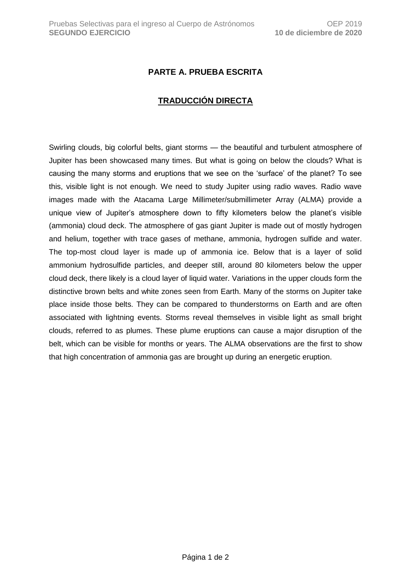## **PARTE A. PRUEBA ESCRITA**

## **TRADUCCIÓN DIRECTA**

Swirling clouds, big colorful belts, giant storms — the beautiful and turbulent atmosphere of Jupiter has been showcased many times. But what is going on below the clouds? What is causing the many storms and eruptions that we see on the 'surface' of the planet? To see this, visible light is not enough. We need to study Jupiter using radio waves. Radio wave images made with the Atacama Large Millimeter/submillimeter Array (ALMA) provide a unique view of Jupiter's atmosphere down to fifty kilometers below the planet's visible (ammonia) cloud deck. The atmosphere of gas giant Jupiter is made out of mostly hydrogen and helium, together with trace gases of methane, ammonia, hydrogen sulfide and water. The top-most cloud layer is made up of ammonia ice. Below that is a layer of solid ammonium hydrosulfide particles, and deeper still, around 80 kilometers below the upper cloud deck, there likely is a cloud layer of liquid water. Variations in the upper clouds form the distinctive brown belts and white zones seen from Earth. Many of the storms on Jupiter take place inside those belts. They can be compared to thunderstorms on Earth and are often associated with lightning events. Storms reveal themselves in visible light as small bright clouds, referred to as plumes. These plume eruptions can cause a major disruption of the belt, which can be visible for months or years. The ALMA observations are the first to show that high concentration of ammonia gas are brought up during an energetic eruption.